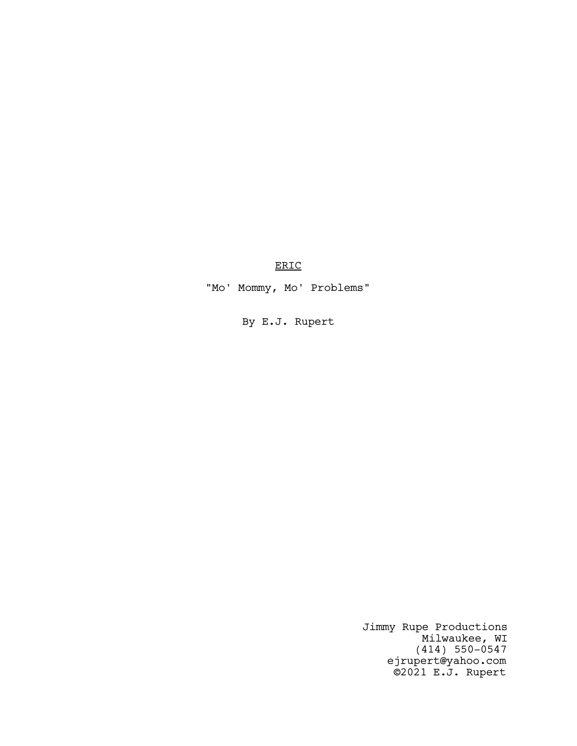ERIC

"Mo' Mommy, Mo' Problems"

By E.J. Rupert

Jimmy Rupe Productions Milwaukee, WI (414) 550-0547 ejrupert@yahoo.com ©2021 E.J. Rupert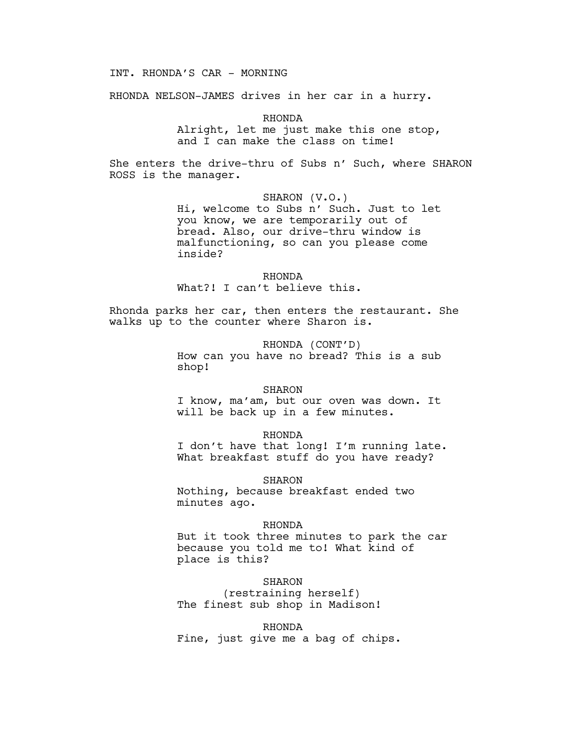# INT. RHONDA'S CAR - MORNING

RHONDA NELSON-JAMES drives in her car in a hurry.

RHONDA

Alright, let me just make this one stop, and I can make the class on time!

She enters the drive-thru of Subs n' Such, where SHARON ROSS is the manager.

SHARON (V.O.)

Hi, welcome to Subs n' Such. Just to let you know, we are temporarily out of bread. Also, our drive-thru window is malfunctioning, so can you please come inside?

RHONDA What?! I can't believe this.

Rhonda parks her car, then enters the restaurant. She walks up to the counter where Sharon is.

> RHONDA (CONT'D) How can you have no bread? This is a sub shop!

## SHARON

I know, ma'am, but our oven was down. It will be back up in a few minutes.

RHONDA

I don't have that long! I'm running late. What breakfast stuff do you have ready?

SHARON

Nothing, because breakfast ended two minutes ago.

## RHONDA

But it took three minutes to park the car because you told me to! What kind of place is this?

SHARON (restraining herself) The finest sub shop in Madison!

## RHONDA

Fine, just give me a bag of chips.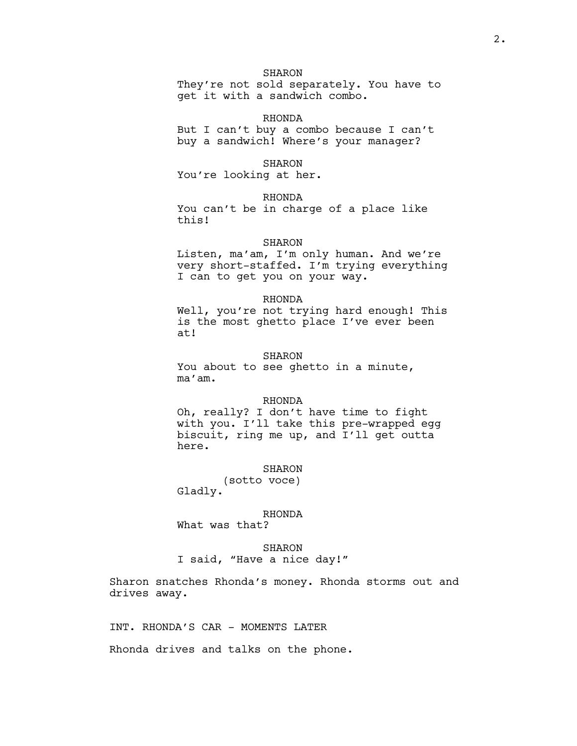# SHARON

They're not sold separately. You have to get it with a sandwich combo.

#### RHONDA

But I can't buy a combo because I can't buy a sandwich! Where's your manager?

#### SHARON

You're looking at her.

## RHONDA

You can't be in charge of a place like this!

## SHARON

Listen, ma'am, I'm only human. And we're very short-staffed. I'm trying everything I can to get you on your way.

#### RHONDA

Well, you're not trying hard enough! This is the most ghetto place I've ever been at!

#### SHARON

You about to see ghetto in a minute, ma'am.

#### RHONDA

Oh, really? I don't have time to fight with you. I'll take this pre-wrapped egg biscuit, ring me up, and I'll get outta here.

#### SHARON

(sotto voce) Gladly.

## RHONDA

What was that?

# SHARON

I said, "Have a nice day!"

Sharon snatches Rhonda's money. Rhonda storms out and drives away.

INT. RHONDA'S CAR - MOMENTS LATER

Rhonda drives and talks on the phone.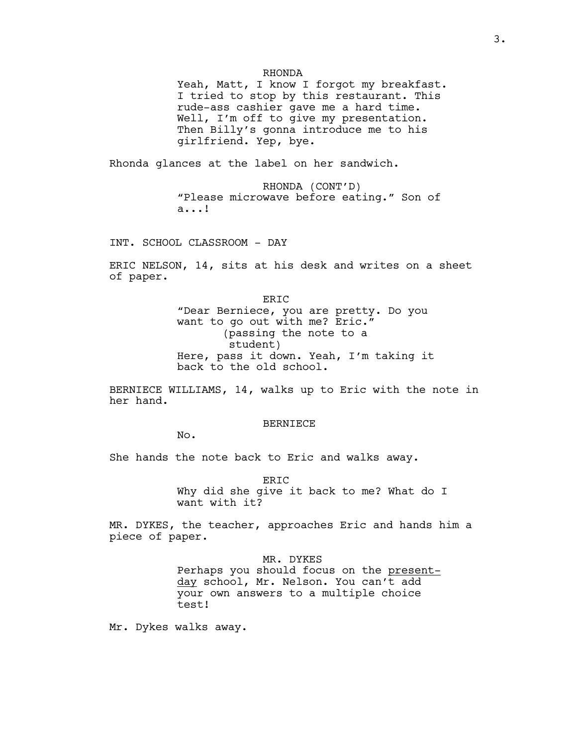## RHONDA

Yeah, Matt, I know I forgot my breakfast. I tried to stop by this restaurant. This rude-ass cashier gave me a hard time. Well, I'm off to give my presentation. Then Billy's gonna introduce me to his girlfriend. Yep, bye.

Rhonda glances at the label on her sandwich.

RHONDA (CONT'D) "Please microwave before eating." Son of a...!

INT. SCHOOL CLASSROOM - DAY

ERIC NELSON, 14, sits at his desk and writes on a sheet of paper.

> ERIC "Dear Berniece, you are pretty. Do you want to go out with me? Eric." (passing the note to a student) Here, pass it down. Yeah, I'm taking it back to the old school.

BERNIECE WILLIAMS, 14, walks up to Eric with the note in her hand.

#### BERNIECE

No.

She hands the note back to Eric and walks away.

ER<sub>TC</sub> Why did she give it back to me? What do I want with it?

MR. DYKES, the teacher, approaches Eric and hands him a piece of paper.

## MR. DYKES

Perhaps you should focus on the presentday school, Mr. Nelson. You can't add your own answers to a multiple choice test!

Mr. Dykes walks away.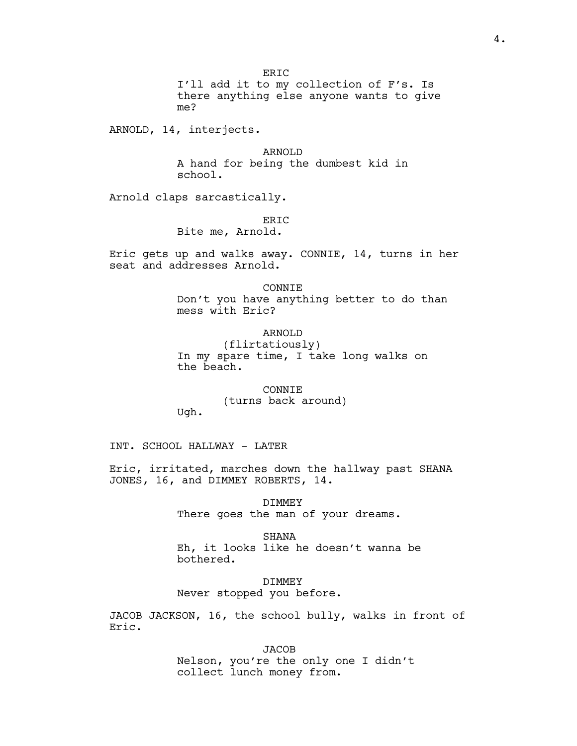I'll add it to my collection of F's. Is there anything else anyone wants to give me?

ARNOLD, 14, interjects.

ARNOLD A hand for being the dumbest kid in school.

Arnold claps sarcastically.

# ER<sub>TC</sub>

Bite me, Arnold.

Eric gets up and walks away. CONNIE, 14, turns in her seat and addresses Arnold.

# CONNIE Don't you have anything better to do than mess with Eric?

## ARNOLD

(flirtatiously) In my spare time, I take long walks on the beach.

# CONNIE (turns back around)

INT. SCHOOL HALLWAY - LATER

Ugh.

Eric, irritated, marches down the hallway past SHANA JONES, 16, and DIMMEY ROBERTS, 14.

> DIMMEY There goes the man of your dreams.

SHANA Eh, it looks like he doesn't wanna be bothered.

DIMMEY Never stopped you before.

JACOB JACKSON, 16, the school bully, walks in front of Eric.

> **JACOB** Nelson, you're the only one I didn't collect lunch money from.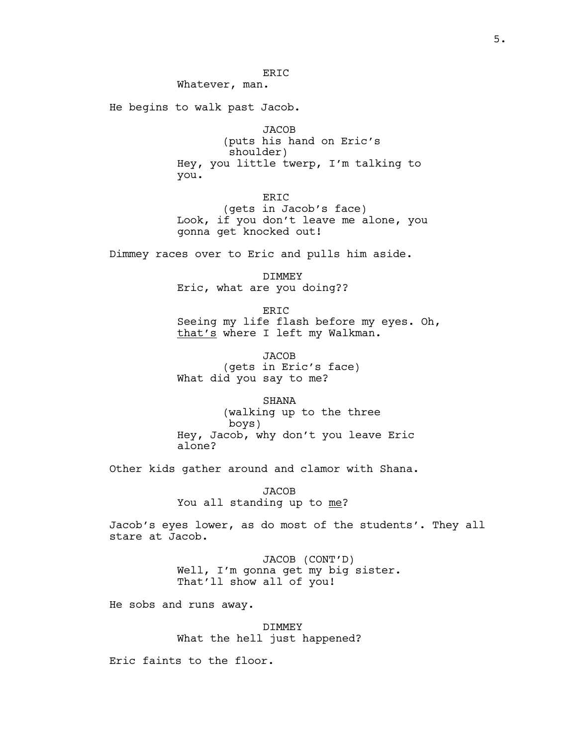ERIC

Whatever, man.

He begins to walk past Jacob.

**JACOB** 

(puts his hand on Eric's shoulder) Hey, you little twerp, I'm talking to you.

ERIC

(gets in Jacob's face) Look, if you don't leave me alone, you gonna get knocked out!

Dimmey races over to Eric and pulls him aside.

DIMMEY Eric, what are you doing??

ERIC Seeing my life flash before my eyes. Oh, that's where I left my Walkman.

JACOB (gets in Eric's face) What did you say to me?

SHANA

(walking up to the three boys) Hey, Jacob, why don't you leave Eric alone?

Other kids gather around and clamor with Shana.

**JACOB** You all standing up to me?

Jacob's eyes lower, as do most of the students'. They all stare at Jacob.

> JACOB (CONT'D) Well, I'm gonna get my big sister. That'll show all of you!

He sobs and runs away.

DIMMEY What the hell just happened?

Eric faints to the floor.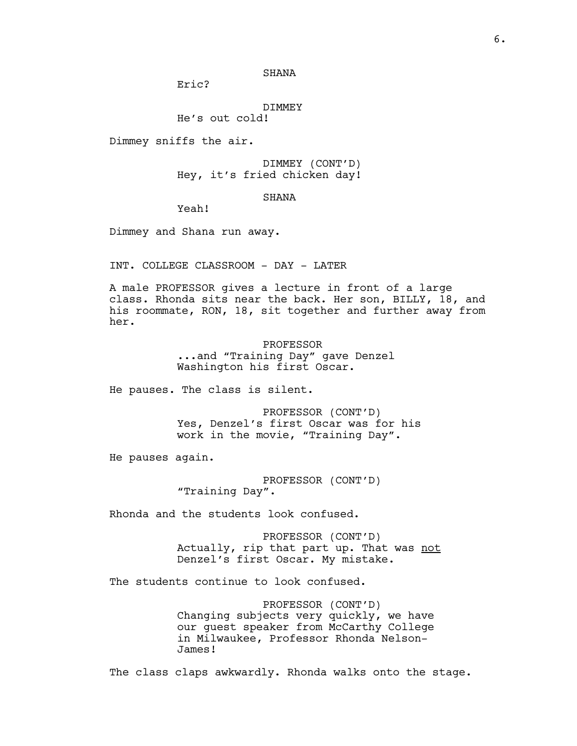# SHANA

Eric?

DIMMEY

He's out cold!

Dimmey sniffs the air.

DIMMEY (CONT'D) Hey, it's fried chicken day!

# SHANA

Yeah!

Dimmey and Shana run away.

INT. COLLEGE CLASSROOM - DAY - LATER

A male PROFESSOR gives a lecture in front of a large class. Rhonda sits near the back. Her son, BILLY, 18, and his roommate, RON, 18, sit together and further away from her.

> PROFESSOR ...and "Training Day" gave Denzel Washington his first Oscar.

He pauses. The class is silent.

PROFESSOR (CONT'D) Yes, Denzel's first Oscar was for his work in the movie, "Training Day".

He pauses again.

PROFESSOR (CONT'D) "Training Day".

Rhonda and the students look confused.

PROFESSOR (CONT'D) Actually, rip that part up. That was not Denzel's first Oscar. My mistake.

The students continue to look confused.

PROFESSOR (CONT'D) Changing subjects very quickly, we have our guest speaker from McCarthy College in Milwaukee, Professor Rhonda Nelson-James!

The class claps awkwardly. Rhonda walks onto the stage.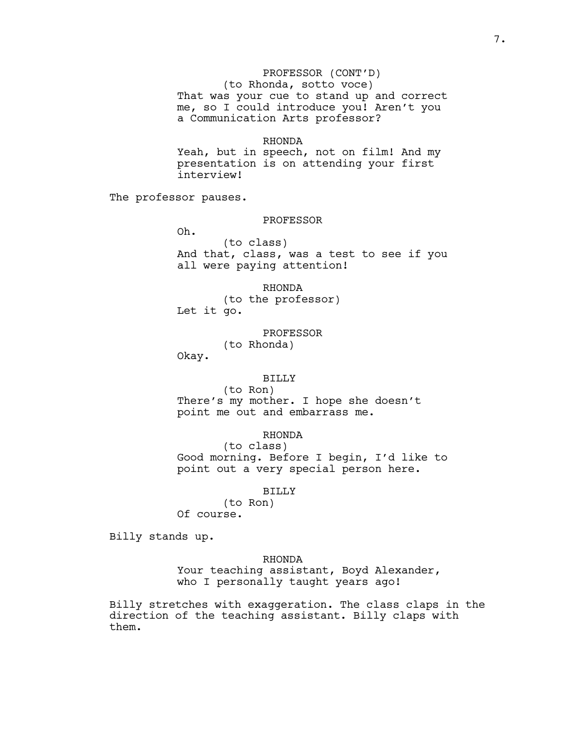PROFESSOR (CONT'D) (to Rhonda, sotto voce) That was your cue to stand up and correct me, so I could introduce you! Aren't you a Communication Arts professor?

## RHONDA

Yeah, but in speech, not on film! And my presentation is on attending your first interview!

The professor pauses.

# PROFESSOR

Oh. (to class) And that, class, was a test to see if you all were paying attention!

RHONDA (to the professor) Let it go.

#### PROFESSOR

(to Rhonda)

Okay.

## BILLY

(to Ron) There's my mother. I hope she doesn't point me out and embarrass me.

## RHONDA

(to class) Good morning. Before I begin, I'd like to point out a very special person here.

## BILLY

(to Ron) Of course.

Billy stands up.

## RHONDA

Your teaching assistant, Boyd Alexander, who I personally taught years ago!

Billy stretches with exaggeration. The class claps in the direction of the teaching assistant. Billy claps with them.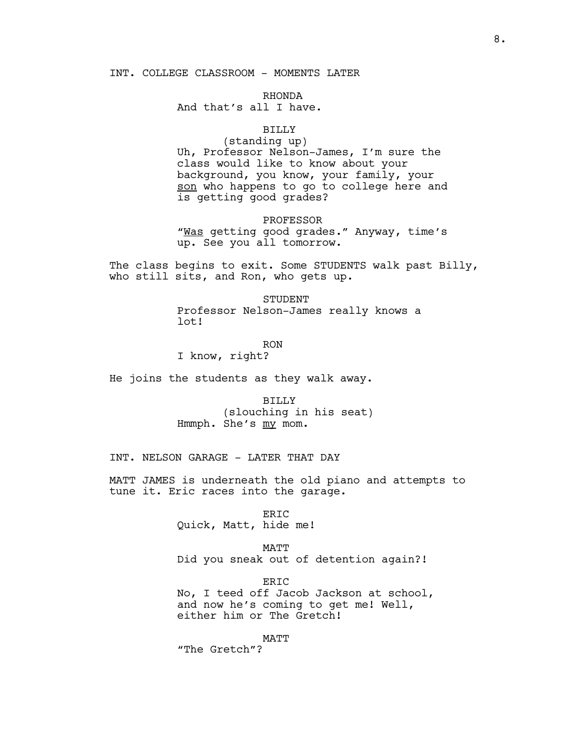## INT. COLLEGE CLASSROOM - MOMENTS LATER

RHONDA And that's all I have.

# BILLY

(standing up) Uh, Professor Nelson-James, I'm sure the class would like to know about your background, you know, your family, your son who happens to go to college here and is getting good grades?

PROFESSOR "Was getting good grades." Anyway, time's up. See you all tomorrow.

The class begins to exit. Some STUDENTS walk past Billy, who still sits, and Ron, who gets up.

> **STUDENT** Professor Nelson-James really knows a lot!

RON I know, right?

He joins the students as they walk away.

BILLY (slouching in his seat) Hmmph. She's my mom.

INT. NELSON GARAGE - LATER THAT DAY

MATT JAMES is underneath the old piano and attempts to tune it. Eric races into the garage.

> ERIC Quick, Matt, hide me!

## MATT

Did you sneak out of detention again?!

ERIC No, I teed off Jacob Jackson at school, and now he's coming to get me! Well, either him or The Gretch!

MATT

"The Gretch"?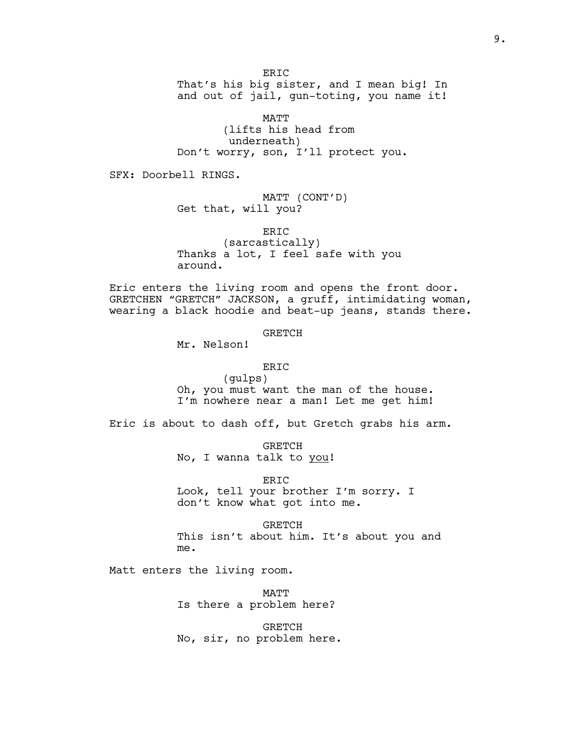ER<sub>TC</sub> That's his big sister, and I mean big! In and out of jail, gun-toting, you name it!

MATT (lifts his head from underneath) Don't worry, son, I'll protect you.

SFX: Doorbell RINGS.

MATT (CONT'D) Get that, will you?

ERIC (sarcastically) Thanks a lot, I feel safe with you around.

Eric enters the living room and opens the front door. GRETCHEN "GRETCH" JACKSON, a gruff, intimidating woman, wearing a black hoodie and beat-up jeans, stands there.

GRETCH

Mr. Nelson!

ERIC

(gulps) Oh, you must want the man of the house. I'm nowhere near a man! Let me get him!

Eric is about to dash off, but Gretch grabs his arm.

GRETCH No, I wanna talk to you!

ERIC Look, tell your brother I'm sorry. I don't know what got into me.

GRETCH This isn't about him. It's about you and me.

Matt enters the living room.

MATT Is there a problem here?

GRETCH No, sir, no problem here.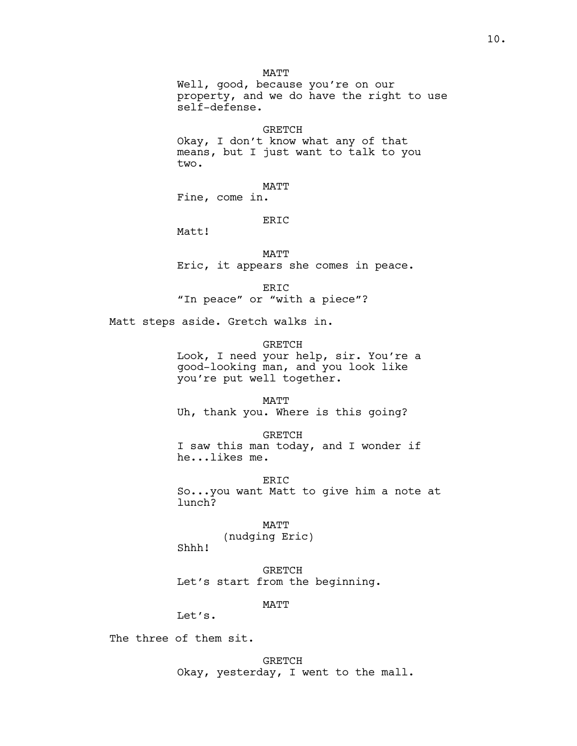MATT Well, good, because you're on our property, and we do have the right to use self-defense.

GRETCH Okay, I don't know what any of that means, but I just want to talk to you two.

MATT Fine, come in.

# ER<sub>IC</sub>

Matt!

MATT

Eric, it appears she comes in peace.

ERIC

"In peace" or "with a piece"?

Matt steps aside. Gretch walks in.

GRETCH

Look, I need your help, sir. You're a good-looking man, and you look like you're put well together.

MATT Uh, thank you. Where is this going?

GRETCH I saw this man today, and I wonder if he...likes me.

ERIC So...you want Matt to give him a note at lunch?

> MATT (nudging Eric)

GRETCH Let's start from the beginning.

MATT

Let's.

Shhh!

The three of them sit.

GRETCH

Okay, yesterday, I went to the mall.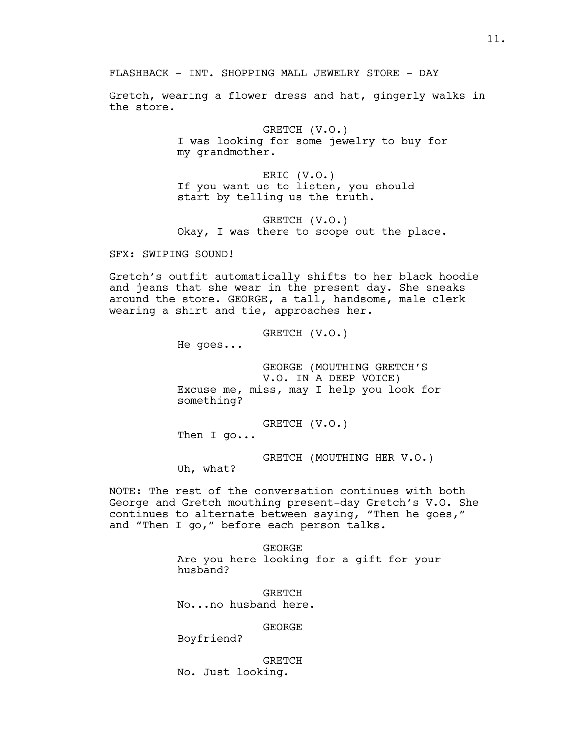FLASHBACK - INT. SHOPPING MALL JEWELRY STORE - DAY

Gretch, wearing a flower dress and hat, gingerly walks in the store.

> GRETCH (V.O.) I was looking for some jewelry to buy for my grandmother.

ERIC (V.O.) If you want us to listen, you should start by telling us the truth.

GRETCH (V.O.) Okay, I was there to scope out the place.

SFX: SWIPING SOUND!

Gretch's outfit automatically shifts to her black hoodie and jeans that she wear in the present day. She sneaks around the store. GEORGE, a tall, handsome, male clerk wearing a shirt and tie, approaches her.

> GRETCH (V.O.) He goes... GEORGE (MOUTHING GRETCH'S V.O. IN A DEEP VOICE)

Excuse me, miss, may I help you look for something?

GRETCH (V.O.)

Then I go...

GRETCH (MOUTHING HER V.O.)

Uh, what?

NOTE: The rest of the conversation continues with both George and Gretch mouthing present-day Gretch's V.O. She continues to alternate between saying, "Then he goes," and "Then I go," before each person talks.

> GEORGE Are you here looking for a gift for your husband?

**GRETCH** No...no husband here.

GEORGE

Boyfriend?

GRETCH No. Just looking.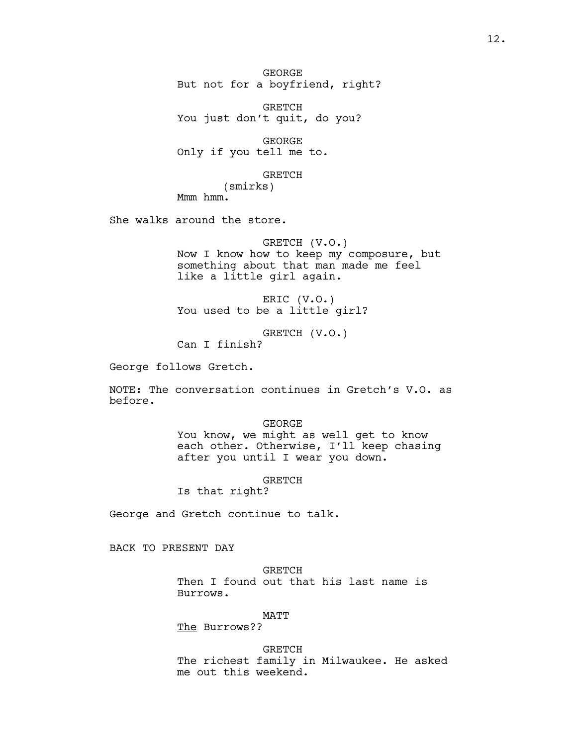GEORGE But not for a boyfriend, right?

GRETCH You just don't quit, do you?

GEORGE Only if you tell me to.

GRETCH

(smirks) Mmm hmm.

She walks around the store.

GRETCH (V.O.) Now I know how to keep my composure, but something about that man made me feel like a little girl again.

ERIC (V.O.) You used to be a little girl?

GRETCH (V.O.) Can I finish?

George follows Gretch.

NOTE: The conversation continues in Gretch's V.O. as before.

> GEORGE You know, we might as well get to know each other. Otherwise, I'll keep chasing after you until I wear you down.

> > GRETCH

Is that right?

George and Gretch continue to talk.

BACK TO PRESENT DAY

GRETCH Then I found out that his last name is Burrows.

MATT

The Burrows??

GRETCH The richest family in Milwaukee. He asked me out this weekend.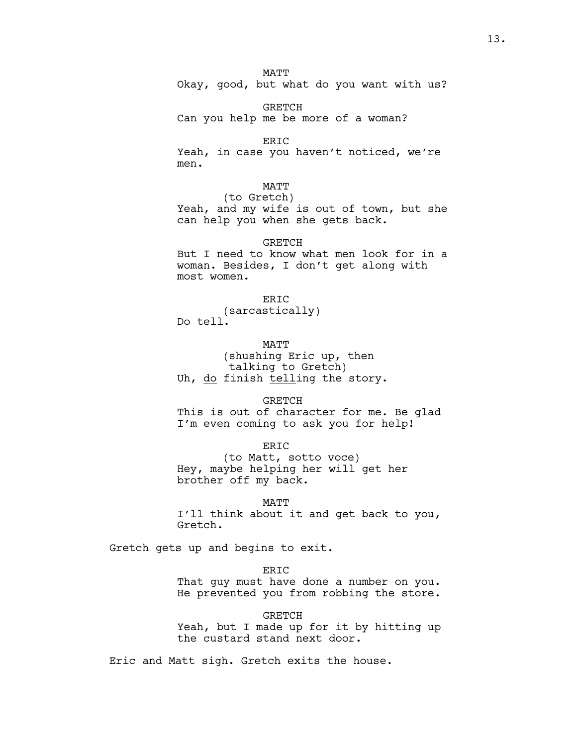**MATT** 

Okay, good, but what do you want with us?

GRETCH Can you help me be more of a woman?

ERIC Yeah, in case you haven't noticed, we're men.

MATT

(to Gretch) Yeah, and my wife is out of town, but she can help you when she gets back.

**GRETCH** 

But I need to know what men look for in a woman. Besides, I don't get along with most women.

ER<sub>IC</sub> (sarcastically) Do tell.

**MATT** (shushing Eric up, then talking to Gretch) Uh, do finish telling the story.

GRETCH This is out of character for me. Be glad

I'm even coming to ask you for help!

ERIC (to Matt, sotto voce) Hey, maybe helping her will get her brother off my back.

MATT I'll think about it and get back to you, Gretch.

Gretch gets up and begins to exit.

ERIC That guy must have done a number on you. He prevented you from robbing the store.

GRETCH Yeah, but I made up for it by hitting up the custard stand next door.

Eric and Matt sigh. Gretch exits the house.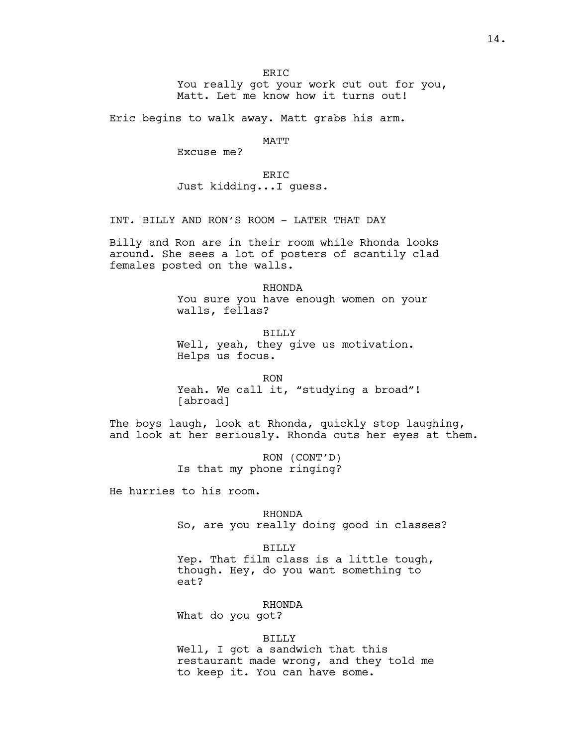ER<sub>TC</sub>

You really got your work cut out for you, Matt. Let me know how it turns out!

Eric begins to walk away. Matt grabs his arm.

MATT

Excuse me?

ER<sub>TC</sub> Just kidding...I guess.

INT. BILLY AND RON'S ROOM - LATER THAT DAY

Billy and Ron are in their room while Rhonda looks around. She sees a lot of posters of scantily clad females posted on the walls.

> RHONDA You sure you have enough women on your walls, fellas?

BILLY Well, yeah, they give us motivation. Helps us focus.

RON Yeah. We call it, "studying a broad"! [abroad]

The boys laugh, look at Rhonda, quickly stop laughing, and look at her seriously. Rhonda cuts her eyes at them.

> RON (CONT'D) Is that my phone ringing?

He hurries to his room.

RHONDA So, are you really doing good in classes?

BILLY Yep. That film class is a little tough, though. Hey, do you want something to eat?

RHONDA What do you got?

BILLY

Well, I got a sandwich that this restaurant made wrong, and they told me to keep it. You can have some.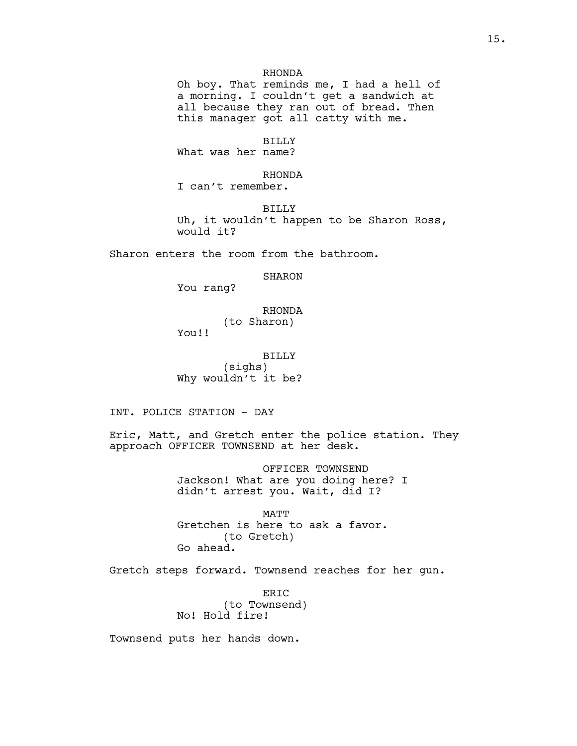Oh boy. That reminds me, I had a hell of a morning. I couldn't get a sandwich at all because they ran out of bread. Then this manager got all catty with me.

## BILLY

What was her name?

## RHONDA

I can't remember.

BILLY Uh, it wouldn't happen to be Sharon Ross, would it?

Sharon enters the room from the bathroom.

## SHARON

You rang?

# RHONDA (to Sharon)

You!!

BILLY (sighs) Why wouldn't it be?

INT. POLICE STATION - DAY

Eric, Matt, and Gretch enter the police station. They approach OFFICER TOWNSEND at her desk.

> OFFICER TOWNSEND Jackson! What are you doing here? I didn't arrest you. Wait, did I?

MATT Gretchen is here to ask a favor. (to Gretch) Go ahead.

Gretch steps forward. Townsend reaches for her gun.

ERIC (to Townsend) No! Hold fire!

Townsend puts her hands down.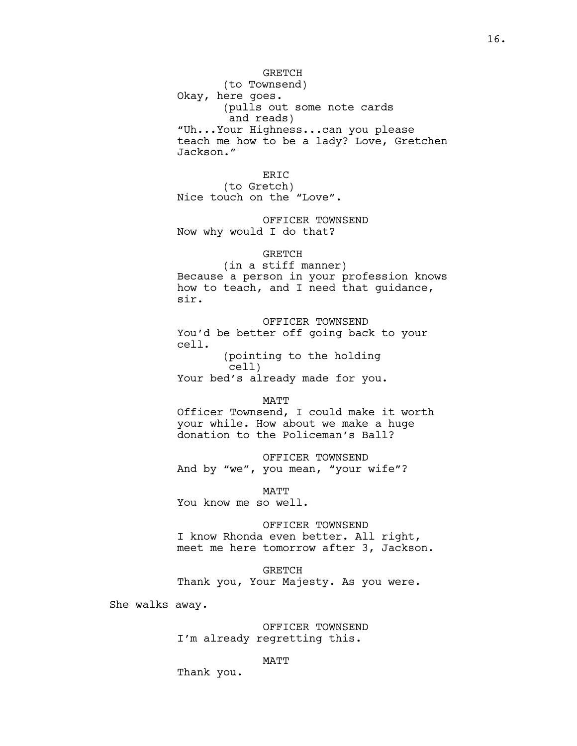# **GRETCH**

(to Townsend) Okay, here goes. (pulls out some note cards and reads) "Uh...Your Highness...can you please teach me how to be a lady? Love, Gretchen Jackson."

ERIC (to Gretch) Nice touch on the "Love".

OFFICER TOWNSEND Now why would I do that?

## GRETCH

(in a stiff manner) Because a person in your profession knows how to teach, and I need that guidance, sir.

OFFICER TOWNSEND You'd be better off going back to your cell.

(pointing to the holding cell) Your bed's already made for you.

#### **MATT**

Officer Townsend, I could make it worth your while. How about we make a huge donation to the Policeman's Ball?

OFFICER TOWNSEND And by "we", you mean, "your wife"?

**MATT** You know me so well.

#### OFFICER TOWNSEND

I know Rhonda even better. All right, meet me here tomorrow after 3, Jackson.

GRETCH

Thank you, Your Majesty. As you were.

She walks away.

OFFICER TOWNSEND I'm already regretting this.

## MATT

Thank you.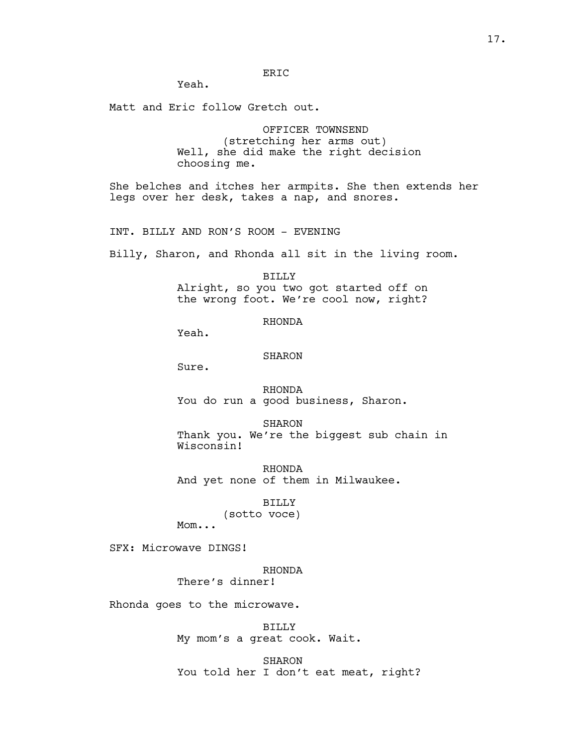# ERIC

Yeah.

Matt and Eric follow Gretch out.

OFFICER TOWNSEND (stretching her arms out) Well, she did make the right decision choosing me.

She belches and itches her armpits. She then extends her legs over her desk, takes a nap, and snores.

INT. BILLY AND RON'S ROOM - EVENING

Billy, Sharon, and Rhonda all sit in the living room.

BILLY Alright, so you two got started off on the wrong foot. We're cool now, right?

RHONDA

Yeah.

#### SHARON

Sure.

RHONDA You do run a good business, Sharon.

SHARON Thank you. We're the biggest sub chain in Wisconsin!

RHONDA And yet none of them in Milwaukee.

BILLY

(sotto voce)

Mom...

SFX: Microwave DINGS!

RHONDA

There's dinner!

Rhonda goes to the microwave.

BILLY My mom's a great cook. Wait.

SHARON You told her I don't eat meat, right?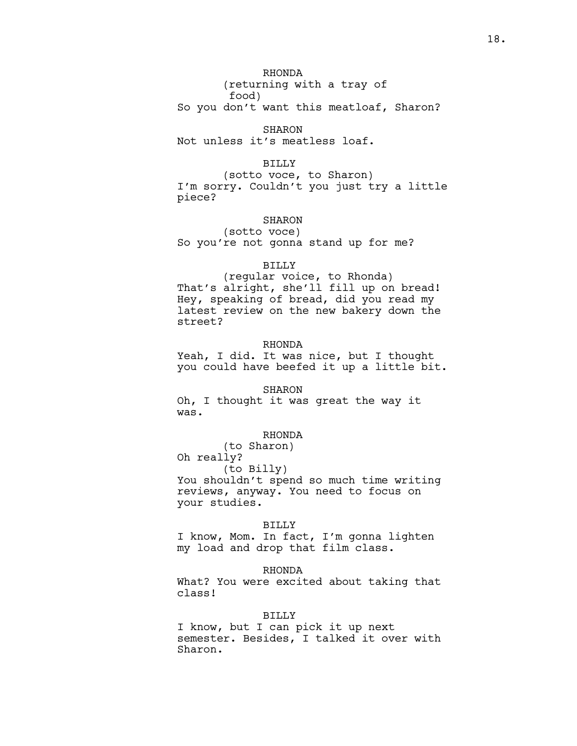RHONDA

(returning with a tray of food)

So you don't want this meatloaf, Sharon?

SHARON

Not unless it's meatless loaf.

## BILLY

(sotto voce, to Sharon) I'm sorry. Couldn't you just try a little piece?

# SHARON

(sotto voce) So you're not gonna stand up for me?

## BILLY

(regular voice, to Rhonda) That's alright, she'll fill up on bread! Hey, speaking of bread, did you read my latest review on the new bakery down the street?

## RHONDA

Yeah, I did. It was nice, but I thought you could have beefed it up a little bit.

#### SHARON

Oh, I thought it was great the way it was.

# RHONDA

(to Sharon)

Oh really?

(to Billy)

You shouldn't spend so much time writing reviews, anyway. You need to focus on your studies.

#### BILLY

I know, Mom. In fact, I'm gonna lighten my load and drop that film class.

## RHONDA

What? You were excited about taking that class!

## BILLY

I know, but I can pick it up next semester. Besides, I talked it over with Sharon.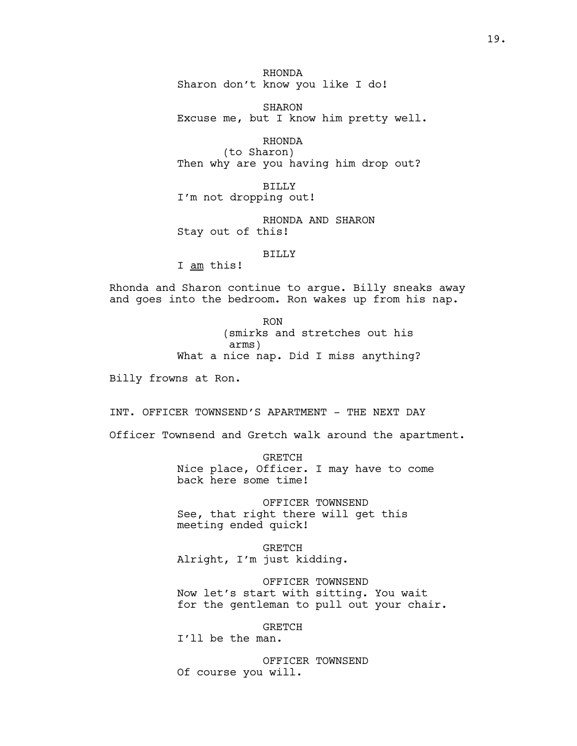RHONDA Sharon don't know you like I do!

SHARON Excuse me, but I know him pretty well.

RHONDA (to Sharon) Then why are you having him drop out?

BILLY I'm not dropping out!

RHONDA AND SHARON Stay out of this!

## BILLY

I am this!

Rhonda and Sharon continue to argue. Billy sneaks away and goes into the bedroom. Ron wakes up from his nap.

> RON (smirks and stretches out his arms) What a nice nap. Did I miss anything?

Billy frowns at Ron.

INT. OFFICER TOWNSEND'S APARTMENT - THE NEXT DAY

Officer Townsend and Gretch walk around the apartment.

GRETCH Nice place, Officer. I may have to come back here some time!

OFFICER TOWNSEND See, that right there will get this meeting ended quick!

GRETCH Alright, I'm just kidding.

OFFICER TOWNSEND Now let's start with sitting. You wait for the gentleman to pull out your chair.

GRETCH

I'll be the man.

OFFICER TOWNSEND Of course you will.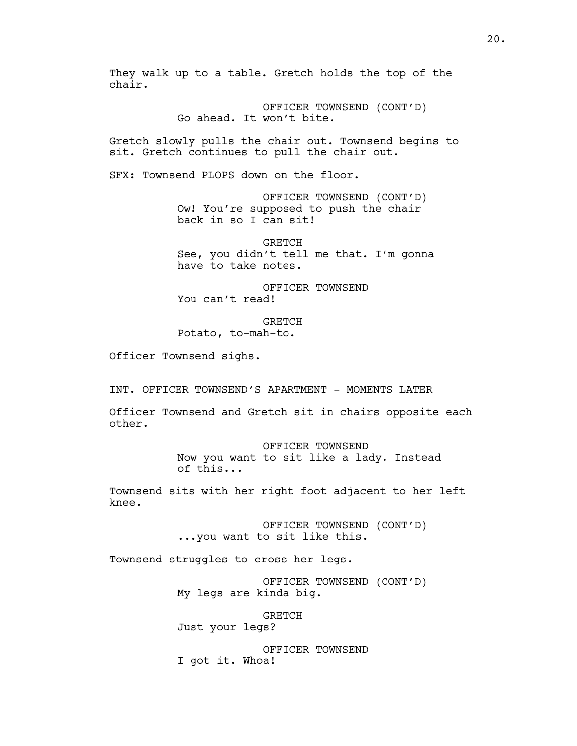They walk up to a table. Gretch holds the top of the chair.

> OFFICER TOWNSEND (CONT'D) Go ahead. It won't bite.

Gretch slowly pulls the chair out. Townsend begins to sit. Gretch continues to pull the chair out.

SFX: Townsend PLOPS down on the floor.

OFFICER TOWNSEND (CONT'D) Ow! You're supposed to push the chair back in so I can sit!

**GRETCH** See, you didn't tell me that. I'm gonna have to take notes.

OFFICER TOWNSEND You can't read!

**GRETCH** Potato, to-mah-to.

Officer Townsend sighs.

INT. OFFICER TOWNSEND'S APARTMENT - MOMENTS LATER

Officer Townsend and Gretch sit in chairs opposite each other.

> OFFICER TOWNSEND Now you want to sit like a lady. Instead of this...

Townsend sits with her right foot adjacent to her left knee.

> OFFICER TOWNSEND (CONT'D) ...you want to sit like this.

Townsend struggles to cross her legs.

OFFICER TOWNSEND (CONT'D) My legs are kinda big.

GRETCH

Just your legs?

OFFICER TOWNSEND I got it. Whoa!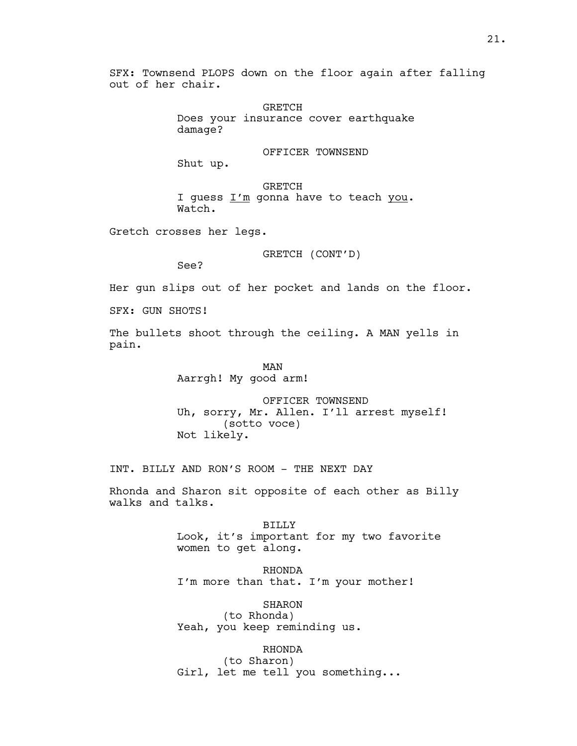SFX: Townsend PLOPS down on the floor again after falling out of her chair.

> GRETCH Does your insurance cover earthquake damage?

## OFFICER TOWNSEND

Shut up.

GRETCH I guess I'm gonna have to teach you. Watch.

Gretch crosses her legs.

GRETCH (CONT'D)

See?

Her gun slips out of her pocket and lands on the floor.

SFX: GUN SHOTS!

The bullets shoot through the ceiling. A MAN yells in pain.

> MAN Aarrgh! My good arm!

OFFICER TOWNSEND Uh, sorry, Mr. Allen. I'll arrest myself! (sotto voce) Not likely.

INT. BILLY AND RON'S ROOM - THE NEXT DAY

Rhonda and Sharon sit opposite of each other as Billy walks and talks.

> BILLY Look, it's important for my two favorite women to get along.

RHONDA I'm more than that. I'm your mother!

SHARON (to Rhonda) Yeah, you keep reminding us.

RHONDA (to Sharon) Girl, let me tell you something...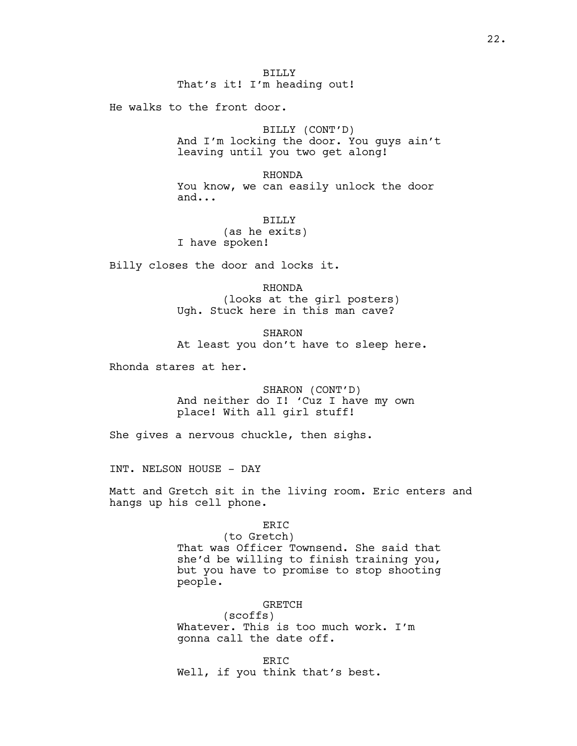He walks to the front door.

BILLY (CONT'D) And I'm locking the door. You guys ain't leaving until you two get along!

RHONDA You know, we can easily unlock the door and...

BILLY (as he exits) I have spoken!

Billy closes the door and locks it.

RHONDA (looks at the girl posters) Ugh. Stuck here in this man cave?

SHARON At least you don't have to sleep here.

Rhonda stares at her.

SHARON (CONT'D) And neither do I! 'Cuz I have my own place! With all girl stuff!

She gives a nervous chuckle, then sighs.

INT. NELSON HOUSE - DAY

Matt and Gretch sit in the living room. Eric enters and hangs up his cell phone.

ERIC

(to Gretch) That was Officer Townsend. She said that she'd be willing to finish training you, but you have to promise to stop shooting people.

#### GRETCH

(scoffs) Whatever. This is too much work. I'm gonna call the date off.

ERIC Well, if you think that's best.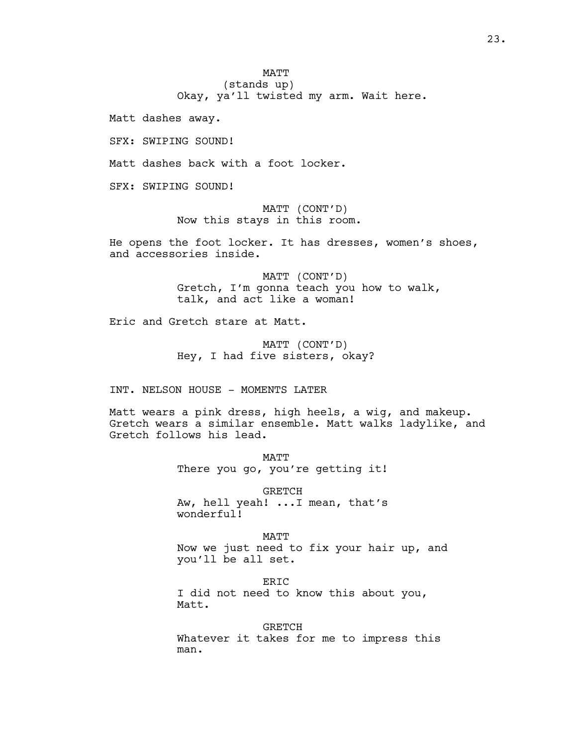**MATT** (stands up)

Okay, ya'll twisted my arm. Wait here.

Matt dashes away.

SFX: SWIPING SOUND!

Matt dashes back with a foot locker.

SFX: SWIPING SOUND!

MATT (CONT'D) Now this stays in this room.

He opens the foot locker. It has dresses, women's shoes, and accessories inside.

> MATT (CONT'D) Gretch, I'm gonna teach you how to walk, talk, and act like a woman!

Eric and Gretch stare at Matt.

MATT (CONT'D) Hey, I had five sisters, okay?

INT. NELSON HOUSE - MOMENTS LATER

Matt wears a pink dress, high heels, a wig, and makeup. Gretch wears a similar ensemble. Matt walks ladylike, and Gretch follows his lead.

> MATT There you go, you're getting it!

> GRETCH Aw, hell yeah! ...I mean, that's wonderful!

MATT Now we just need to fix your hair up, and you'll be all set.

ERIC I did not need to know this about you, Matt.

GRETCH Whatever it takes for me to impress this man.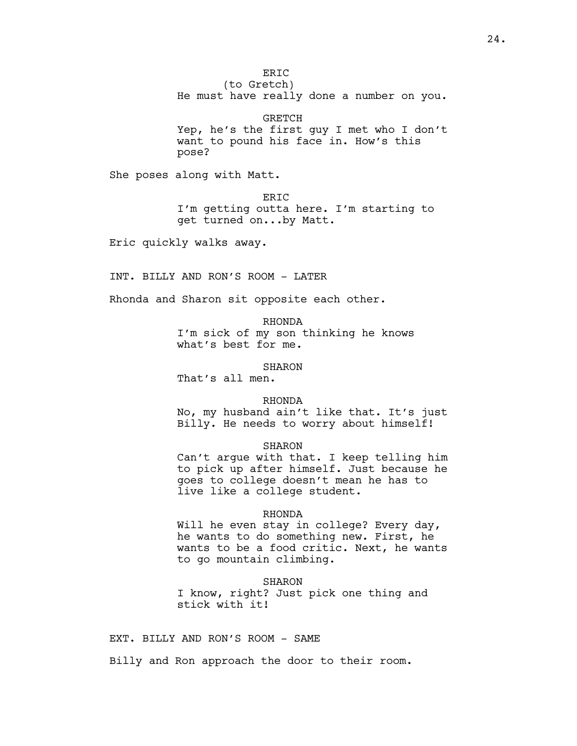ER<sub>IC</sub>

(to Gretch) He must have really done a number on you.

GRETCH Yep, he's the first guy I met who I don't want to pound his face in. How's this pose?

She poses along with Matt.

ERIC I'm getting outta here. I'm starting to get turned on...by Matt.

Eric quickly walks away.

INT. BILLY AND RON'S ROOM - LATER

Rhonda and Sharon sit opposite each other.

RHONDA I'm sick of my son thinking he knows what's best for me.

SHARON

That's all men.

## RHONDA

No, my husband ain't like that. It's just Billy. He needs to worry about himself!

## SHARON

Can't argue with that. I keep telling him to pick up after himself. Just because he goes to college doesn't mean he has to live like a college student.

#### RHONDA

Will he even stay in college? Every day, he wants to do something new. First, he wants to be a food critic. Next, he wants to go mountain climbing.

## SHARON

I know, right? Just pick one thing and stick with it!

EXT. BILLY AND RON'S ROOM - SAME

Billy and Ron approach the door to their room.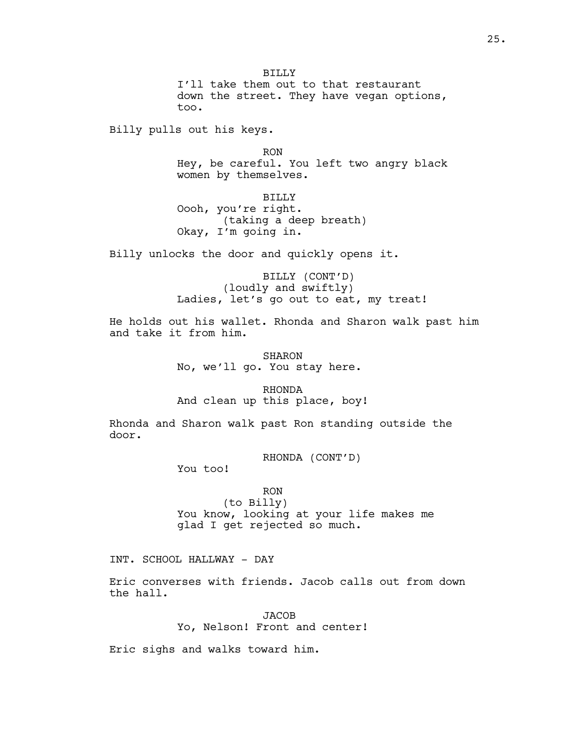BILLY I'll take them out to that restaurant down the street. They have vegan options, too.

Billy pulls out his keys.

RON Hey, be careful. You left two angry black women by themselves.

BILLY Oooh, you're right. (taking a deep breath) Okay, I'm going in.

Billy unlocks the door and quickly opens it.

BILLY (CONT'D) (loudly and swiftly) Ladies, let's go out to eat, my treat!

He holds out his wallet. Rhonda and Sharon walk past him and take it from him.

> SHARON No, we'll go. You stay here.

RHONDA And clean up this place, boy!

Rhonda and Sharon walk past Ron standing outside the door.

RHONDA (CONT'D)

You too!

RON (to Billy) You know, looking at your life makes me glad I get rejected so much.

INT. SCHOOL HALLWAY - DAY

Eric converses with friends. Jacob calls out from down the hall.

> **JACOB** Yo, Nelson! Front and center!

Eric sighs and walks toward him.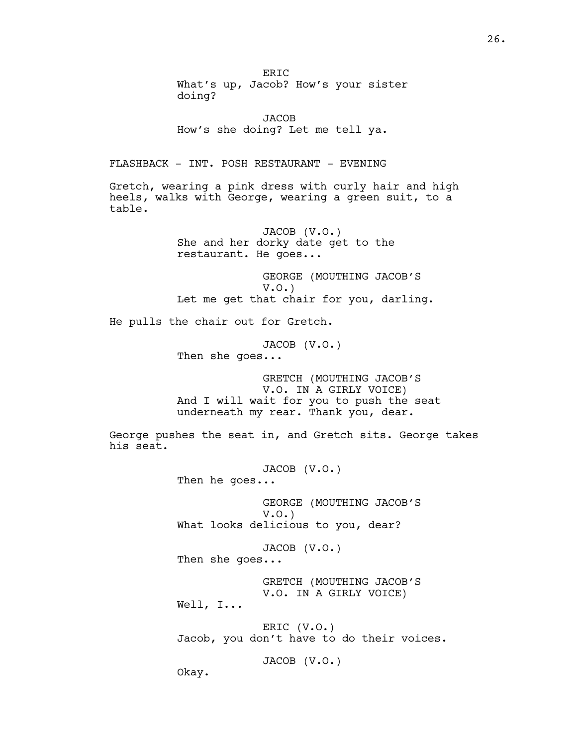What's up, Jacob? How's your sister doing? **JACOB** How's she doing? Let me tell ya. FLASHBACK - INT. POSH RESTAURANT - EVENING Gretch, wearing a pink dress with curly hair and high heels, walks with George, wearing a green suit, to a table. JACOB (V.O.) She and her dorky date get to the restaurant. He goes... GEORGE (MOUTHING JACOB'S V.O.) Let me get that chair for you, darling. He pulls the chair out for Gretch. JACOB (V.O.) Then she goes... GRETCH (MOUTHING JACOB'S V.O. IN A GIRLY VOICE) And I will wait for you to push the seat underneath my rear. Thank you, dear. George pushes the seat in, and Gretch sits. George takes his seat. JACOB (V.O.) Then he goes... GEORGE (MOUTHING JACOB'S V.O.) What looks delicious to you, dear? JACOB (V.O.) Then she goes... GRETCH (MOUTHING JACOB'S V.O. IN A GIRLY VOICE) Well, I... ERIC (V.O.) Jacob, you don't have to do their voices. JACOB (V.O.) Okay.

ER<sub>IC</sub>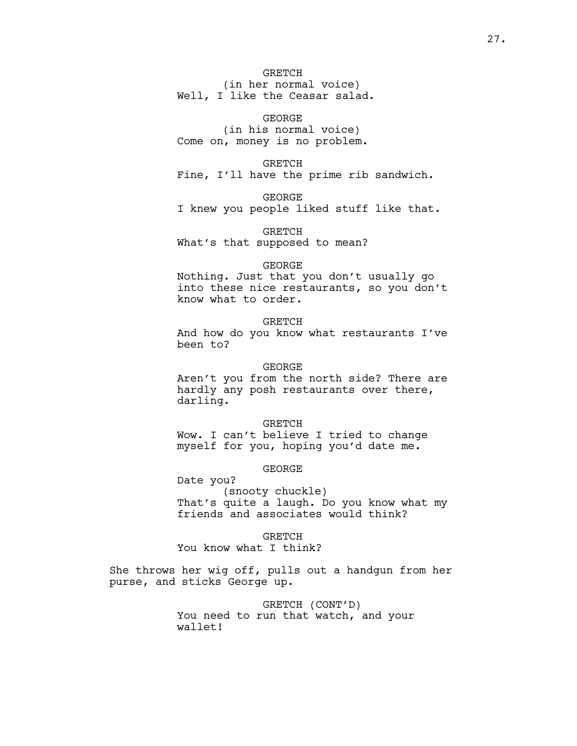# **GRETCH**

(in her normal voice) Well, I like the Ceasar salad.

GEORGE (in his normal voice) Come on, money is no problem.

GRETCH Fine, I'll have the prime rib sandwich.

GEORGE I knew you people liked stuff like that.

GRETCH What's that supposed to mean?

## GEORGE

Nothing. Just that you don't usually go into these nice restaurants, so you don't know what to order.

## **GRETCH**

And how do you know what restaurants I've been to?

## GEORGE

Aren't you from the north side? There are hardly any posh restaurants over there, darling.

GRETCH Wow. I can't believe I tried to change myself for you, hoping you'd date me.

# GEORGE

Date you? (snooty chuckle) That's quite a laugh. Do you know what my friends and associates would think?

GRETCH

You know what I think?

She throws her wig off, pulls out a handgun from her purse, and sticks George up.

> GRETCH (CONT'D) You need to run that watch, and your wallet!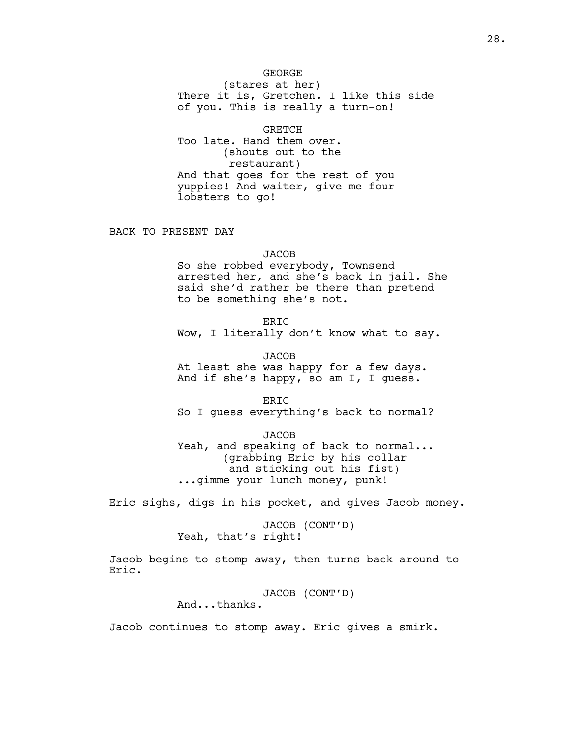GEORGE (stares at her) There it is, Gretchen. I like this side of you. This is really a turn-on!

GRETCH Too late. Hand them over. (shouts out to the restaurant) And that goes for the rest of you yuppies! And waiter, give me four lobsters to go!

BACK TO PRESENT DAY

## **JACOB**

So she robbed everybody, Townsend arrested her, and she's back in jail. She said she'd rather be there than pretend to be something she's not.

**ERIC** Wow, I literally don't know what to say.

JACOB At least she was happy for a few days. And if she's happy, so am I, I guess.

ERIC So I guess everything's back to normal?

JACOB Yeah, and speaking of back to normal... (grabbing Eric by his collar and sticking out his fist) ...gimme your lunch money, punk!

Eric sighs, digs in his pocket, and gives Jacob money.

JACOB (CONT'D) Yeah, that's right!

Jacob begins to stomp away, then turns back around to Eric.

JACOB (CONT'D)

And...thanks.

Jacob continues to stomp away. Eric gives a smirk.